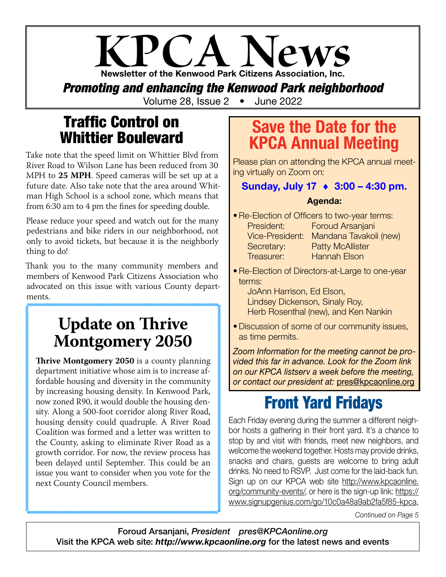# PCA News Newsletter of the Kenwood Park Citizens Association, Inc.

*Promoting and enhancing the Kenwood Park neighborhood*

Volume 28, Issue 2 • June 2022

## Traffic Control on Whittier Boulevard

Take note that the speed limit on Whittier Blvd from River Road to Wilson Lane has been reduced from 30 MPH to **25 MPH**. Speed cameras will be set up at a future date. Also take note that the area around Whitman High School is a school zone, which means that from 6:30 am to 4 pm the fines for speeding double.

Please reduce your speed and watch out for the many pedestrians and bike riders in our neighborhood, not only to avoid tickets, but because it is the neighborly thing to do!

Thank you to the many community members and members of Kenwood Park Citizens Association who advocated on this issue with various County departments.

## **Update on Thrive Montgomery 2050**

**Thrive Montgomery 2050** is a county planning department initiative whose aim is to increase affordable housing and diversity in the community by increasing housing density. In Kenwood Park, now zoned R90, it would double the housing density. Along a 500-foot corridor along River Road, housing density could quadruple. A River Road Coalition was formed and a letter was written to the County, asking to eliminate River Road as a growth corridor. For now, the review process has been delayed until September. This could be an issue you want to consider when you vote for the next County Council members.

## Save the Date for the KPCA Annual Meeting

Please plan on attending the KPCA annual meeting virtually on Zoom on:

#### Sunday, July 17 ♦ 3:00 – 4:30 pm.

#### Agenda:

- Re-Election of Officers to two-year terms: President: Foroud Arsanjani Vice-President: Mandana Tavakoli (new) Secretary: Patty McAllister Treasurer: Hannah Elson
- Re-Election of Directors-at-Large to one-year terms:

JoAnn Harrison, Ed Elson, Lindsey Dickenson, Sinaly Roy, Herb Rosenthal (new), and Ken Nankin

•Discussion of some of our community issues, as time permits.

*Zoom Information for the meeting cannot be provided this far in advance. Look for the Zoom link on our KPCA listserv a week before the meeting, or contact our president at:* pres@kpcaonline.org

# Front Yard Fridays

Each Friday evening during the summer a different neighbor hosts a gathering in their front yard. It's a chance to stop by and visit with friends, meet new neighbors, and welcome the weekend together. Hosts may provide drinks, snacks and chairs, guests are welcome to bring adult drinks. No need to RSVP. Just come for the laid-back fun. Sign up on our KPCA web site http://www.kpcaonline. org/community-events/, or here is the sign-up link: https:// www.signupgenius.com/go/10c0a48a9ab2fa5f85-kpca,

*Continued on Page 5*

Foroud Arsanjani, *President pres@KPCAonline.org* Visit the KPCA web site: *http://www.kpcaonline.org* for the latest news and events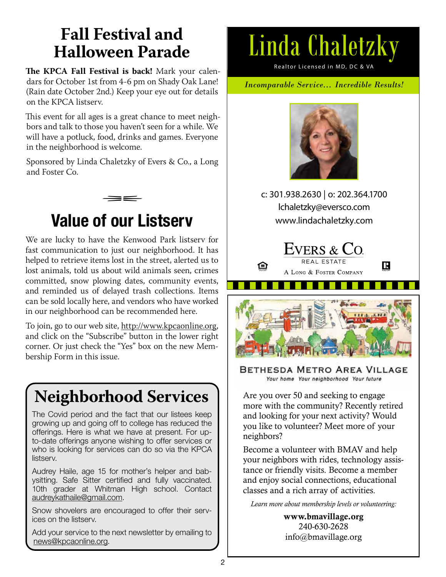## **Fall Festival and Halloween Parade**

**The KPCA Fall Festival is back!** Mark your calendars for October 1st from 4-6 pm on Shady Oak Lane! (Rain date October 2nd.) Keep your eye out for details on the KPCA listserv.

This event for all ages is a great chance to meet neighbors and talk to those you haven't seen for a while. We will have a potluck, food, drinks and games. Everyone in the neighborhood is welcome.

Sponsored by Linda Chaletzky of Evers & Co., a Long and Foster Co.

## Value of our Listserv  $\Rightarrow$

We are lucky to have the Kenwood Park listserv for fast communication to just our neighborhood. It has helped to retrieve items lost in the street, alerted us to lost animals, told us about wild animals seen, crimes committed, snow plowing dates, community events, and reminded us of delayed trash collections. Items can be sold locally here, and vendors who have worked in our neighborhood can be recommended here.

To join, go to our web site, http://www.kpcaonline.org, and click on the "Subscribe" button in the lower right corner. Or just check the "Yes" box on the new Membership Form in this issue.

# **Neighborhood Services**

The Covid period and the fact that our listees keep growing up and going off to college has reduced the offerings. Here is what we have at present. For upto-date offerings anyone wishing to offer services or who is looking for services can do so via the KPCA listserv.

Audrey Haile, age 15 for mother's helper and babysitting. Safe Sitter certified and fully vaccinated. 10th grader at Whitman High school. Contact audreykathaile@gmail.com.

Snow shovelers are encouraged to offer their services on the listserv.

Add your service to the next newsletter by emailing to news@kpcaonline.org.

# Linda Chaletzky

Realtor Licensed in MD, DC & VA

*Incomparable Service… Incredible Results!*



c: 301.938.2630 | o: 202.364.1700 lchaletzky@eversco.com www.lindachaletzky.com

| EVERS & $Co$            |  |
|-------------------------|--|
| REAL ESTATE             |  |
| A LONG & FOSTER COMPANY |  |

 ≙



**BETHESDA METRO AREA VILLAGE** Your home Your neighborhood Your future

Are you over 50 and seeking to engage more with the community? Recently retired and looking for your next activity? Would you like to volunteer? Meet more of your neighbors?

Become a volunteer with BMAV and help your neighbors with rides, technology assistance or friendly visits. Become a member and enjoy social connections, educational classes and a rich array of activities.

*Learn more about membership levels or volunteering:*

www.bmavillage.org 240-630-2628 info@bmavillage.org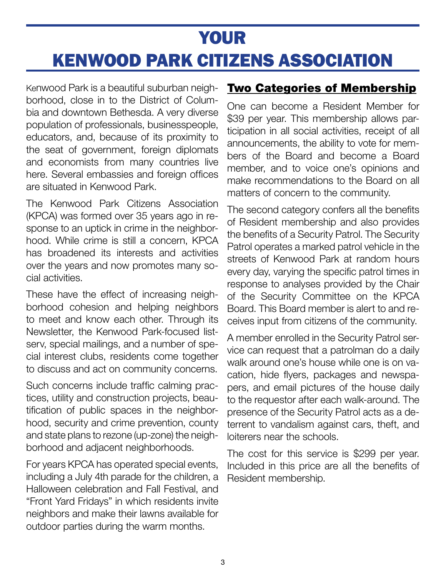# YOUR KENWOOD PARK CITIZENS ASSOCIATION

Kenwood Park is a beautiful suburban neighborhood, close in to the District of Columbia and downtown Bethesda. A very diverse population of professionals, businesspeople, educators, and, because of its proximity to the seat of government, foreign diplomats and economists from many countries live here. Several embassies and foreign offices are situated in Kenwood Park.

The Kenwood Park Citizens Association (KPCA) was formed over 35 years ago in response to an uptick in crime in the neighborhood. While crime is still a concern, KPCA has broadened its interests and activities over the years and now promotes many social activities.

These have the effect of increasing neighborhood cohesion and helping neighbors to meet and know each other. Through its Newsletter, the Kenwood Park-focused listserv, special mailings, and a number of special interest clubs, residents come together to discuss and act on community concerns.

Such concerns include traffic calming practices, utility and construction projects, beautification of public spaces in the neighborhood, security and crime prevention, county and state plans to rezone (up-zone) the neighborhood and adjacent neighborhoods.

For years KPCA has operated special events, including a July 4th parade for the children, a Halloween celebration and Fall Festival, and "Front Yard Fridays" in which residents invite neighbors and make their lawns available for outdoor parties during the warm months.

### Two Categories of Membership

One can become a Resident Member for \$39 per year. This membership allows participation in all social activities, receipt of all announcements, the ability to vote for members of the Board and become a Board member, and to voice one's opinions and make recommendations to the Board on all matters of concern to the community.

The second category confers all the benefits of Resident membership and also provides the benefits of a Security Patrol. The Security Patrol operates a marked patrol vehicle in the streets of Kenwood Park at random hours every day, varying the specific patrol times in response to analyses provided by the Chair of the Security Committee on the KPCA Board. This Board member is alert to and receives input from citizens of the community.

A member enrolled in the Security Patrol service can request that a patrolman do a daily walk around one's house while one is on vacation, hide flyers, packages and newspapers, and email pictures of the house daily to the requestor after each walk-around. The presence of the Security Patrol acts as a deterrent to vandalism against cars, theft, and loiterers near the schools.

The cost for this service is \$299 per year. Included in this price are all the benefits of Resident membership.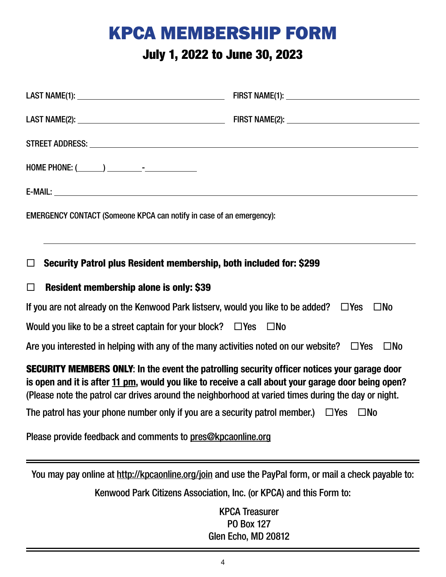## KPCA MEMBERSHIP FORM

### July 1, 2022 to June 30, 2023

| <b>E-MAIL:</b> North and the contract of the contract of the contract of the contract of the contract of the contract of the contract of the contract of the contract of the contract of the contract of the contract of the contra                                                                              |  |  |
|------------------------------------------------------------------------------------------------------------------------------------------------------------------------------------------------------------------------------------------------------------------------------------------------------------------|--|--|
| EMERGENCY CONTACT (Someone KPCA can notify in case of an emergency):                                                                                                                                                                                                                                             |  |  |
| Security Patrol plus Resident membership, both included for: \$299<br>$\Box$                                                                                                                                                                                                                                     |  |  |
| <b>Resident membership alone is only: \$39</b><br>$\Box$                                                                                                                                                                                                                                                         |  |  |
| If you are not already on the Kenwood Park listserv, would you like to be added? $\square$ Yes<br>$\square$ No                                                                                                                                                                                                   |  |  |
| Would you like to be a street captain for your block? $\Box$ Yes $\Box$ No                                                                                                                                                                                                                                       |  |  |
| Are you interested in helping with any of the many activities noted on our website? $\Box$ Yes<br>$\square$ No                                                                                                                                                                                                   |  |  |
| <b>SECURITY MEMBERS ONLY:</b> In the event the patrolling security officer notices your garage door<br>is open and it is after 11 pm, would you like to receive a call about your garage door being open?<br>(Please note the patrol car drives around the neighborhood at varied times during the day or night. |  |  |
| The patrol has your phone number only if you are a security patrol member.) $\Box$ Yes $\Box$ No                                                                                                                                                                                                                 |  |  |
| Please provide feedback and comments to pres@kpcaonline.org                                                                                                                                                                                                                                                      |  |  |
| You may pay online at http://kpcaonline.org/join and use the PayPal form, or mail a check payable to:                                                                                                                                                                                                            |  |  |
| Kenwood Park Citizens Association, Inc. (or KPCA) and this Form to:                                                                                                                                                                                                                                              |  |  |
| <b>KDCA</b> Tropeuror                                                                                                                                                                                                                                                                                            |  |  |

KPCA Ireasurer PO Box 127 Glen Echo, MD 20812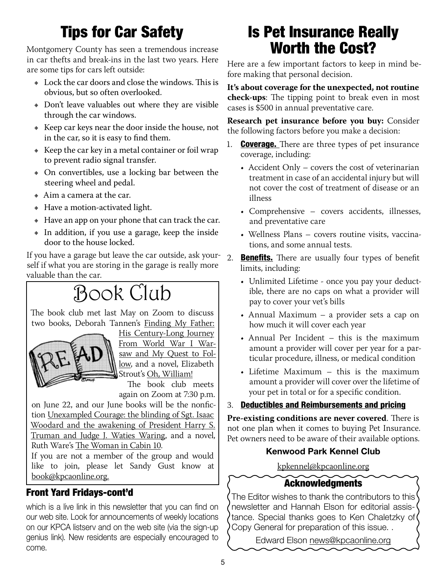## Tips for Car Safety

Montgomery County has seen a tremendous increase in car thefts and break-ins in the last two years. Here are some tips for cars left outside:

- Lock the car doors and close the windows. This is obvious, but so often overlooked.
- Don't leave valuables out where they are visible through the car windows.
- **EXECT** Keep car keys near the door inside the house, not in the car, so it is easy to find them.
- Keep the car key in a metal container or foil wrap to prevent radio signal transfer.
- On convertibles, use a locking bar between the steering wheel and pedal.
- Aim a camera at the car.
- Have a motion-activated light.
- Have an app on your phone that can track the car.
- In addition, if you use a garage, keep the inside door to the house locked.

If you have a garage but leave the car outside, ask yourself if what you are storing in the garage is really more valuable than the car.

# Book Club

The book club met last May on Zoom to discuss two books, Deborah Tannen's Finding My Father:



His Century-Long Journey From World War I Warsaw and My Quest to Follow, and a novel, Elizabeth Strout's Oh, William!

The book club meets again on Zoom at 7:30 p.m.

on June 22, and our June books will be the nonfiction Unexampled Courage: the blinding of Sgt. Isaac Woodard and the awakening of President Harry S. Truman and Judge J. Waties Waring, and a novel, Ruth Ware's The Woman in Cabin 10.

If you are not a member of the group and would like to join, please let Sandy Gust know at book@kpcaonline.org.

### Front Yard Fridays-cont'd

which is a live link in this newsletter that you can find on our web site. Look for announcements of weekly locations on our KPCA listserv and on the web site (via the sign-up genius link). New residents are especially encouraged to come.

## Is Pet Insurance Really Worth the Cost?

Here are a few important factors to keep in mind before making that personal decision.

**It's about coverage for the unexpected, not routine check-ups**: The tipping point to break even in most cases is \$500 in annual preventative care.

**Research pet insurance before you buy:** Consider the following factors before you make a decision:

- 1. **Coverage.** There are three types of pet insurance coverage, including:
	- Accident Only covers the cost of veterinarian treatment in case of an accidental injury but will not cover the cost of treatment of disease or an illness
	- Comprehensive covers accidents, illnesses, and preventative care
	- Wellness Plans covers routine visits, vaccinations, and some annual tests.
- 2. **Benefits.** There are usually four types of benefit limits, including:
	- Unlimited Lifetime once you pay your deductible, there are no caps on what a provider will pay to cover your vet's bills
	- Annual Maximum a provider sets a cap on how much it will cover each year
	- Annual Per Incident this is the maximum amount a provider will cover per year for a particular procedure, illness, or medical condition
	- Lifetime Maximum this is the maximum amount a provider will cover over the lifetime of your pet in total or for a specific condition.

#### 3. Deductibles and Reimbursements and pricing

**Pre-existing conditions are never covered**. There is not one plan when it comes to buying Pet Insurance. Pet owners need to be aware of their available options.

#### Kenwood Park Kennel Club

kpkennel@kpcaonline.org

#### **Acknowledgments**

The Editor wishes to thank the contributors to this newsletter and Hannah Elson for editorial assistance. Special thanks goes to Ken Chaletzky of Copy General for preparation of this issue. .

Edward Elson news@kpcaonline.org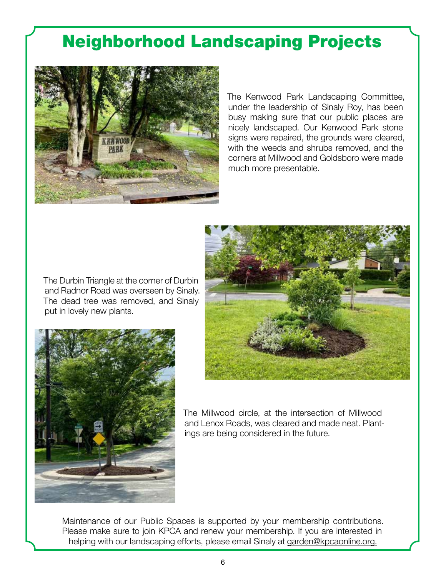## Neighborhood Landscaping Projects



The Kenwood Park Landscaping Committee, under the leadership of Sinaly Roy, has been busy making sure that our public places are nicely landscaped. Our Kenwood Park stone signs were repaired, the grounds were cleared, with the weeds and shrubs removed, and the corners at Millwood and Goldsboro were made much more presentable.

The Durbin Triangle at the corner of Durbin and Radnor Road was overseen by Sinaly. The dead tree was removed, and Sinaly put in lovely new plants.





The Millwood circle, at the intersection of Millwood and Lenox Roads, was cleared and made neat. Plantings are being considered in the future.

Maintenance of our Public Spaces is supported by your membership contributions. Please make sure to join KPCA and renew your membership. If you are interested in helping with our landscaping efforts, please email Sinaly at garden@kpcaonline.org.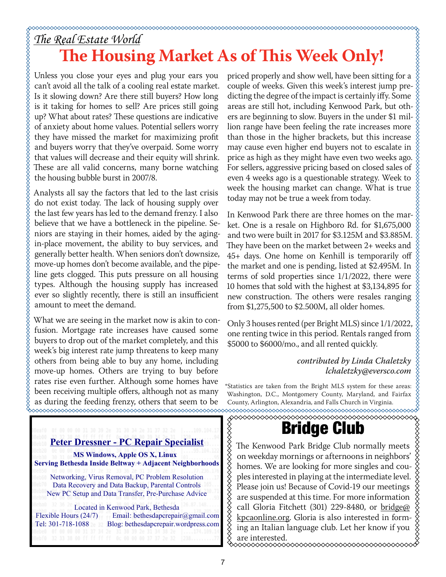# **The Housing Market As of This Week Only!**

Unless you close your eyes and plug your ears you can't avoid all the talk of a cooling real estate market. Is it slowing down? Are there still buyers? How long is it taking for homes to sell? Are prices still going up? What about rates? These questions are indicative of anxiety about home values. Potential sellers worry they have missed the market for maximizing profit and buyers worry that they've overpaid. Some worry that values will decrease and their equity will shrink. These are all valid concerns, many borne watching the housing bubble burst in 2007/8.

Analysts all say the factors that led to the last crisis do not exist today. The lack of housing supply over the last few years has led to the demand frenzy. I also believe that we have a bottleneck in the pipeline. Seniors are staying in their homes, aided by the agingin-place movement, the ability to buy services, and generally better health. When seniors don't downsize, move-up homes don't become available, and the pipeline gets clogged. This puts pressure on all housing types. Although the housing supply has increased ever so slightly recently, there is still an insufficient amount to meet the demand.

What we are seeing in the market now is akin to confusion. Mortgage rate increases have caused some buyers to drop out of the market completely, and this week's big interest rate jump threatens to keep many others from being able to buy any home, including move-up homes. Others are trying to buy before rates rise even further. Although some homes have been receiving multiple offers, although not as many as during the feeding frenzy, others that seem to be

priced properly and show well, have been sitting for a couple of weeks. Given this week's interest jump predicting the degree of the impact is certainly iffy. Some areas are still hot, including Kenwood Park, but oth- $\{$ ers are beginning to slow. Buyers in the under \$1 mil- $\frac{8}{9}$ lion range have been feeling the rate increases more than those in the higher brackets, but this increase may cause even higher end buyers not to escalate in  $\delta$ price as high as they might have even two weeks ago.  $\frac{8}{6}$ For sellers, aggressive pricing based on closed sales of even 4 weeks ago is a questionable strategy. Week to week the housing market can change. What is true today may not be true a week from today.

In Kenwood Park there are three homes on the market. One is a resale on Highboro Rd. for \$1,675,000 and two were built in 2017 for \$3.125M and \$3.885M. They have been on the market between 2+ weeks and 45+ days. One home on Kenhill is temporarily off the market and one is pending, listed at \$2.495M. In terms of sold properties since 1/1/2022, there were 10 homes that sold with the highest at \$3,134,895 for new construction. The others were resales ranging from \$1,275,500 to \$2.500M, all older homes.

Only 3 houses rented (per Bright MLS) since 1/1/2022, one renting twice in this period. Rentals ranged from \$5000 to \$6000/mo., and all rented quickly.

> *contributed by Linda Chaletzky lchaletzky@eversco.com*

> > **XXXXXX**

\*Statistics are taken from the Bright MLS system for these areas: Washington, D.C., Montgomery County, Maryland, and Fairfax County, Arlington, Alexandria, and Falls Church in Virginia. 

# Bridge Club

The Kenwood Park Bridge Club normally meets on weekday mornings or afternoons in neighbors' homes. We are looking for more singles and couples interested in playing at the intermediate level. Please join us! Because of Covid-19 our meetings are suspended at this time. For more information call Gloria Fitchett (301) 229-8480, or <u>bridge@</u> kpcaonline.org. Gloria is also interested in forming an Italian language club. Let her know if you are interested.

#### **Peter Dressner - PC Repair Specialist**

 **MS Windows, Apple OS X, Linux Serving Bethesda Inside Beltway + Adjacent Neighborhoods**

Networking, Virus Removal, PC Problem Resolution Data Recovery and Data Backup, Parental Controls New PC Setup and Data Transfer, Pre-Purchase Advice

Located in Kenwood Park, Bethesda Flexible Hours (24/7) Email: bethesdapcrepair@gmail.com Tel: 301-718-1088 Blog: bethesdapcrepair.wordpress.com